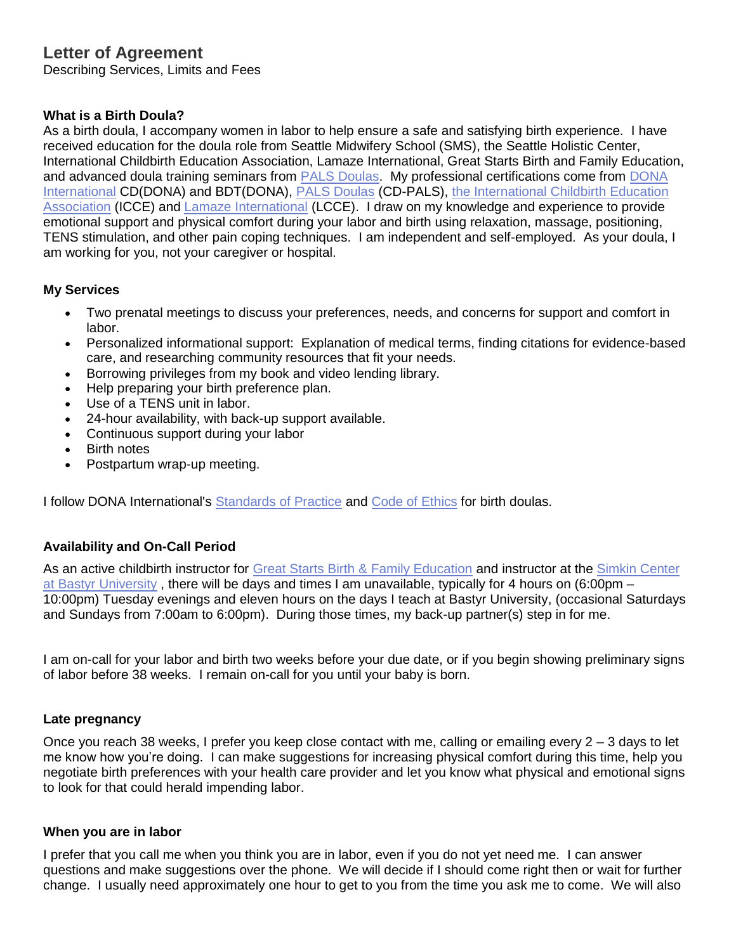# **Letter of Agreement**

Describing Services, Limits and Fees

## **What is a Birth Doula?**

As a birth doula, I accompany women in labor to help ensure a safe and satisfying birth experience. I have received education for the doula role from Seattle Midwifery School (SMS), the Seattle Holistic Center, International Childbirth Education Association, Lamaze International, Great Starts Birth and Family Education, and advanced doula training seminars from **PALS Doulas.** My professional certifications come from **DONA** [International](http://www.dona.org/) CD(DONA) and BDT(DONA), [PALS Doulas](http://www.palsdoulas.org/) (CD-PALS), [the International Childbirth Education](http://www.icea.org/)  [Association](http://www.icea.org/) (ICCE) and [Lamaze International](http://www.lamaze.org/) (LCCE). I draw on my knowledge and experience to provide emotional support and physical comfort during your labor and birth using relaxation, massage, positioning, TENS stimulation, and other pain coping techniques. I am independent and self-employed. As your doula, I am working for you, not your caregiver or hospital.

## **My Services**

- Two prenatal meetings to discuss your preferences, needs, and concerns for support and comfort in labor.
- Personalized informational support: Explanation of medical terms, finding citations for evidence-based care, and researching community resources that fit your needs.
- Borrowing privileges from my book and video lending library.
- Help preparing your birth preference plan.
- Use of a TENS unit in labor.
- 24-hour availability, with back-up support available.
- Continuous support during your labor
- Birth notes
- Postpartum wrap-up meeting.

I follow DONA International's [Standards of Practice](http://www.dona.org/aboutus/standards_birth.php) and [Code of Ethics](http://www.dona.org/aboutus/code_of_ethics_birth.php) for birth doulas.

## **Availability and On-Call Period**

As an active childbirth instructor for [Great Starts Birth & Family Education](http://www.parenttrust.org/for-families/education-support/program-registration/gs-class-overviews/) and instructor at the [Simkin Center](http://www.seattlemidwifery.org/simkin-school/simkin-school.html)  [at Bastyr University](http://www.seattlemidwifery.org/simkin-school/simkin-school.html) , there will be days and times I am unavailable, typically for 4 hours on (6:00pm – 10:00pm) Tuesday evenings and eleven hours on the days I teach at Bastyr University, (occasional Saturdays and Sundays from 7:00am to 6:00pm). During those times, my back-up partner(s) step in for me.

I am on-call for your labor and birth two weeks before your due date, or if you begin showing preliminary signs of labor before 38 weeks. I remain on-call for you until your baby is born.

#### **Late pregnancy**

Once you reach 38 weeks, I prefer you keep close contact with me, calling or emailing every 2 – 3 days to let me know how you're doing. I can make suggestions for increasing physical comfort during this time, help you negotiate birth preferences with your health care provider and let you know what physical and emotional signs to look for that could herald impending labor.

#### **When you are in labor**

I prefer that you call me when you think you are in labor, even if you do not yet need me. I can answer questions and make suggestions over the phone. We will decide if I should come right then or wait for further change. I usually need approximately one hour to get to you from the time you ask me to come. We will also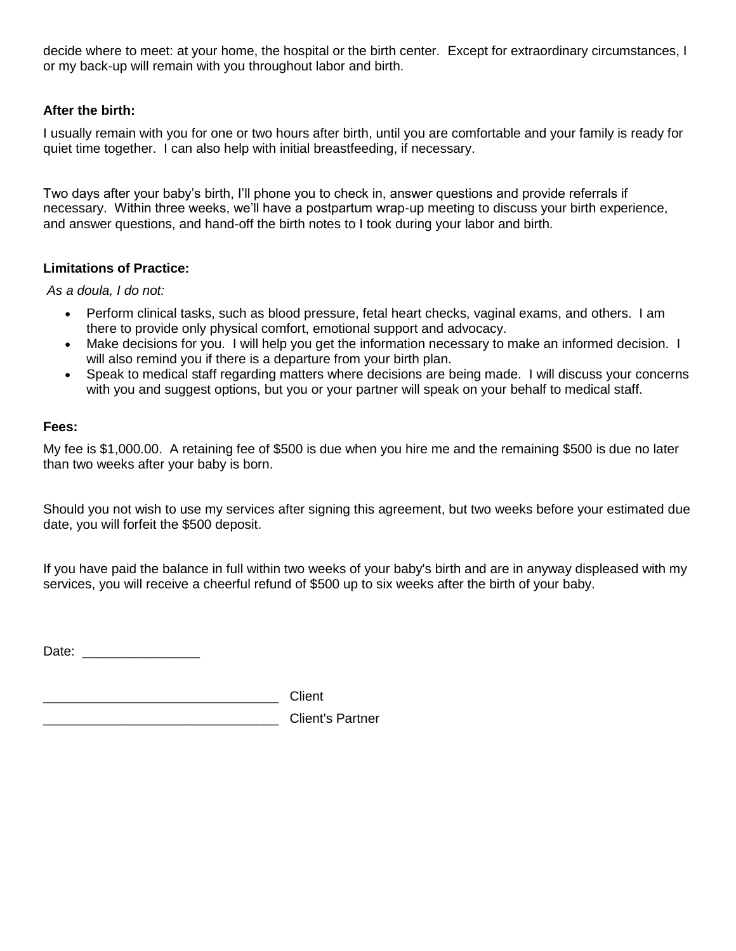decide where to meet: at your home, the hospital or the birth center. Except for extraordinary circumstances, I or my back-up will remain with you throughout labor and birth.

## **After the birth:**

I usually remain with you for one or two hours after birth, until you are comfortable and your family is ready for quiet time together. I can also help with initial breastfeeding, if necessary.

Two days after your baby's birth, I'll phone you to check in, answer questions and provide referrals if necessary. Within three weeks, we'll have a postpartum wrap-up meeting to discuss your birth experience, and answer questions, and hand-off the birth notes to I took during your labor and birth.

## **Limitations of Practice:**

*As a doula, I do not:*

- Perform clinical tasks, such as blood pressure, fetal heart checks, vaginal exams, and others. I am there to provide only physical comfort, emotional support and advocacy.
- Make decisions for you. I will help you get the information necessary to make an informed decision. I will also remind you if there is a departure from your birth plan.
- Speak to medical staff regarding matters where decisions are being made. I will discuss your concerns with you and suggest options, but you or your partner will speak on your behalf to medical staff.

## **Fees:**

My fee is \$1,000.00. A retaining fee of \$500 is due when you hire me and the remaining \$500 is due no later than two weeks after your baby is born.

Should you not wish to use my services after signing this agreement, but two weeks before your estimated due date, you will forfeit the \$500 deposit.

If you have paid the balance in full within two weeks of your baby's birth and are in anyway displeased with my services, you will receive a cheerful refund of \$500 up to six weeks after the birth of your baby.

Date: \_\_\_\_\_\_\_\_\_\_\_\_\_\_\_\_

\_\_\_\_\_\_\_\_\_\_\_\_\_\_\_\_\_\_\_\_\_\_\_\_\_\_\_\_\_\_\_\_ Client

\_\_\_\_\_\_\_\_\_\_\_\_\_\_\_\_\_\_\_\_\_\_\_\_\_\_\_\_\_\_\_\_ Client's Partner